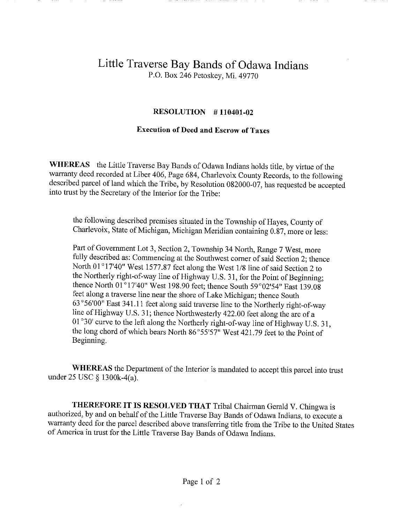## Little Traverse Bay Bands of Odawa Indians P.O. Box 246 Petoskey, Mi. 49770

## RESOLUTION # 110401-02

## Execution of Deed and Escrow of Taxes

WHEREAS the Little Traverse Bay Bands of Odawa Indians holds title, by virtue of the warranty deed recorded at Liber 406, Page 684, Charlevoix County Records, to the following described parcel of land which the Tribe, by Resolution 082000-07, has requested be accepted into trust by the Secretary of the Interior for the Tribe:

the following described premises situated in the Township of Hayes, County of Charlevoix, State of Michigan, Michigan Meridian containing 0.87, more or less:

Part of Government Lot 3, Section 2, Township 34 North, Range 7 West, more fully described as: Commencing at the Southwest corner of said Section 2; thence North 01°17'40" West 1577.87 feet along the West 1/8 line of said Section 2 to the Northerly right-of-way line of Highway U.S. 31, for the Point of Beginning; thence North 01°17'40" West 198.90 feet; thence South 59°02'54" East 139.08 feet along a traverse line near the shore of Lake Michigan; thence South 63°56'00" East 341.11 feet along said traverse line to the Northerly right-of-way line of Highway U.S. 31; thence Northwesterly 422.00 feet along the arc of a 01°30' curve to the left along the Northerly right-of-way line of Highway U.S. 31, the long chord of which bears North 86°55'57" West 421.79 feet to the Point of Beginning.

WHEREAS the Department of the Interior is mandated to accept this parcel into trust under 25 USC § 1300k-4(a).

THEREFORE IT IS RESOLVED THAT Tribal Chairman Gerald V. Chingwa is authorized, by and on behalf of the Little Traverse Bay Bands of Odawa Indians, to execute a warranty deed for the parcel described above transferring title from the Tribe to the United States of America in trust for the Little Traverse Bay Bands of Odawa Indians.